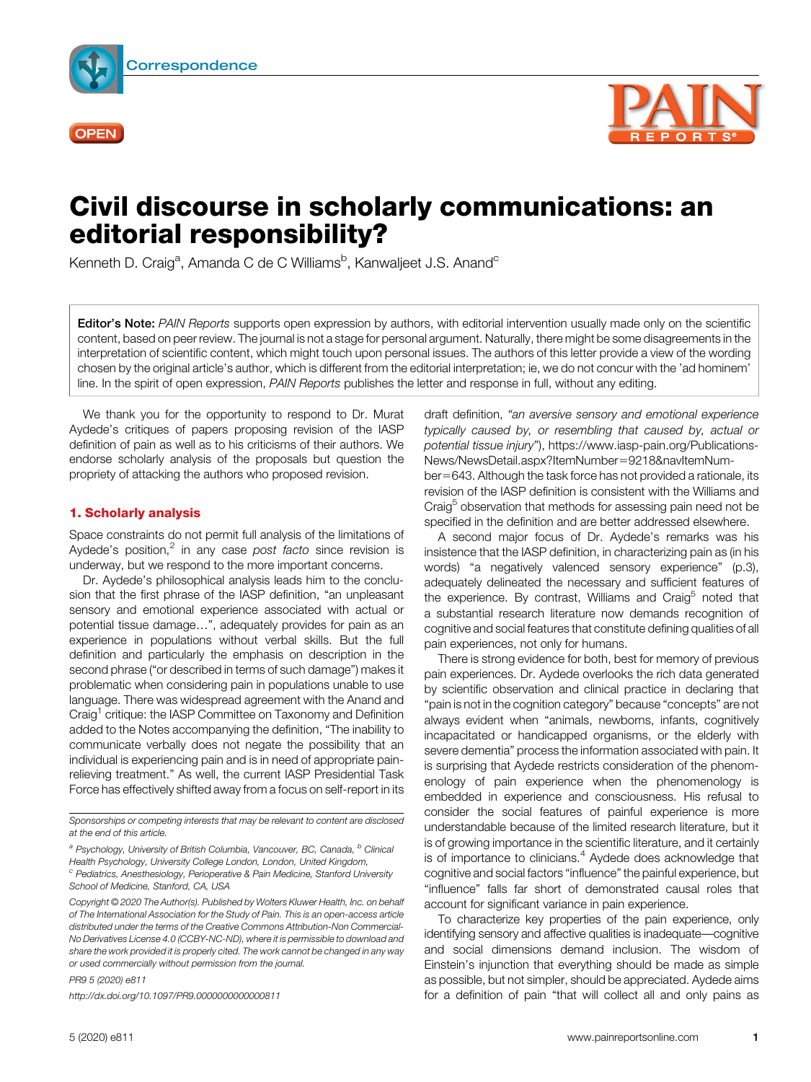







# Civil discourse in scholarly communications: an editorial responsibility?

Kenneth D. Craig<sup>a</sup>, Amanda C de C Williams<sup>b</sup>, Kanwaljeet J.S. Anand<sup>c</sup>

Editor's Note: PAIN Reports supports open expression by authors, with editorial intervention usually made only on the scientific content, based on peer review. The journal is not a stage for personal argument. Naturally, there might be some disagreements in the interpretation of scientific content, which might touch upon personal issues. The authors of this letter provide a view of the wording chosen by the original article's author, which is different from the editorial interpretation; ie, we do not concur with the 'ad hominem' line. In the spirit of open expression, PAIN Reports publishes the letter and response in full, without any editing.

We thank you for the opportunity to respond to Dr. Murat Aydede's critiques of papers proposing revision of the IASP definition of pain as well as to his criticisms of their authors. We endorse scholarly analysis of the proposals but question the propriety of attacking the authors who proposed revision.

# 1. Scholarly analysis

Space constraints do not permit full analysis of the limitations of Aydede's position,<sup>2</sup> in any case *post facto* since revision is underway, but we respond to the more important concerns.

Dr. Aydede's philosophical analysis leads him to the conclusion that the first phrase of the IASP definition, "an unpleasant sensory and emotional experience associated with actual or potential tissue damage…", adequately provides for pain as an experience in populations without verbal skills. But the full definition and particularly the emphasis on description in the second phrase ("or described in terms of such damage") makes it problematic when considering pain in populations unable to use language. There was widespread agreement with the Anand and Craig<sup>1</sup> critique: the IASP Committee on Taxonomy and Definition added to the Notes accompanying the definition, "The inability to communicate verbally does not negate the possibility that an individual is experiencing pain and is in need of appropriate painrelieving treatment." As well, the current IASP Presidential Task Force has effectively shifted away from a focus on self-report in its

Sponsorships or competing interests that may be relevant to content are disclosed at the end of this article.

<sup>a</sup> Psychology, University of British Columbia, Vancouver, BC, Canada, <sup>b</sup> Clinical Health Psychology, University College London, London, United Kingdom,

 $c$  Pediatrics, Anesthesiology, Perioperative & Pain Medicine, Stanford University School of Medicine, Stanford, CA, USA

Copyright © 2020 The Author(s). Published by Wolters Kluwer Health, Inc. on behalf of The International Association for the Study of Pain. This is an open-access article distributed under the terms of the [Creative Commons Attribution-Non Commercial-](http://creativecommons.org/licenses/by-nc-nd/4.0/)[No Derivatives License 4.0 \(CCBY-NC-ND\)](http://creativecommons.org/licenses/by-nc-nd/4.0/), where it is permissible to download and share the work provided it is properly cited. The work cannot be changed in any way or used commercially without permission from the journal.

PR9 5 (2020) e811

<http://dx.doi.org/10.1097/PR9.0000000000000811>

draft definition, "an aversive sensory and emotional experience typically caused by, or resembling that caused by, actual or potential tissue injury"), [https://www.iasp-pain.org/Publications-](https://www.iasp-pain.org/PublicationsNews/NewsDetail.aspx?ItemNumber=9218&tnqh_x0026;navItemNumber=643)[News/NewsDetail.aspx?ItemNumber](https://www.iasp-pain.org/PublicationsNews/NewsDetail.aspx?ItemNumber=9218&tnqh_x0026;navItemNumber=643)=9218&navItemNum $ber=643$ . Although the task force has not provided a rationale, its revision of the IASP definition is consistent with the Williams and Craig<sup>5</sup> observation that methods for assessing pain need not be specified in the definition and are better addressed elsewhere.

A second major focus of Dr. Aydede's remarks was his insistence that the IASP definition, in characterizing pain as (in his words) "a negatively valenced sensory experience" (p.3), adequately delineated the necessary and sufficient features of the experience. By contrast, Williams and Craig<sup>5</sup> noted that a substantial research literature now demands recognition of cognitive and social features that constitute defining qualities of all pain experiences, not only for humans.

There is strong evidence for both, best for memory of previous pain experiences. Dr. Aydede overlooks the rich data generated by scientific observation and clinical practice in declaring that "pain is not in the cognition category" because "concepts" are not always evident when "animals, newborns, infants, cognitively incapacitated or handicapped organisms, or the elderly with severe dementia" process the information associated with pain. It is surprising that Aydede restricts consideration of the phenomenology of pain experience when the phenomenology is embedded in experience and consciousness. His refusal to consider the social features of painful experience is more understandable because of the limited research literature, but it is of growing importance in the scientific literature, and it certainly is of importance to clinicians.<sup>4</sup> Aydede does acknowledge that cognitive and social factors "influence" the painful experience, but "influence" falls far short of demonstrated causal roles that account for significant variance in pain experience.

To characterize key properties of the pain experience, only identifying sensory and affective qualities is inadequate—cognitive and social dimensions demand inclusion. The wisdom of Einstein's injunction that everything should be made as simple as possible, but not simpler, should be appreciated. Aydede aims for a definition of pain "that will collect all and only pains as